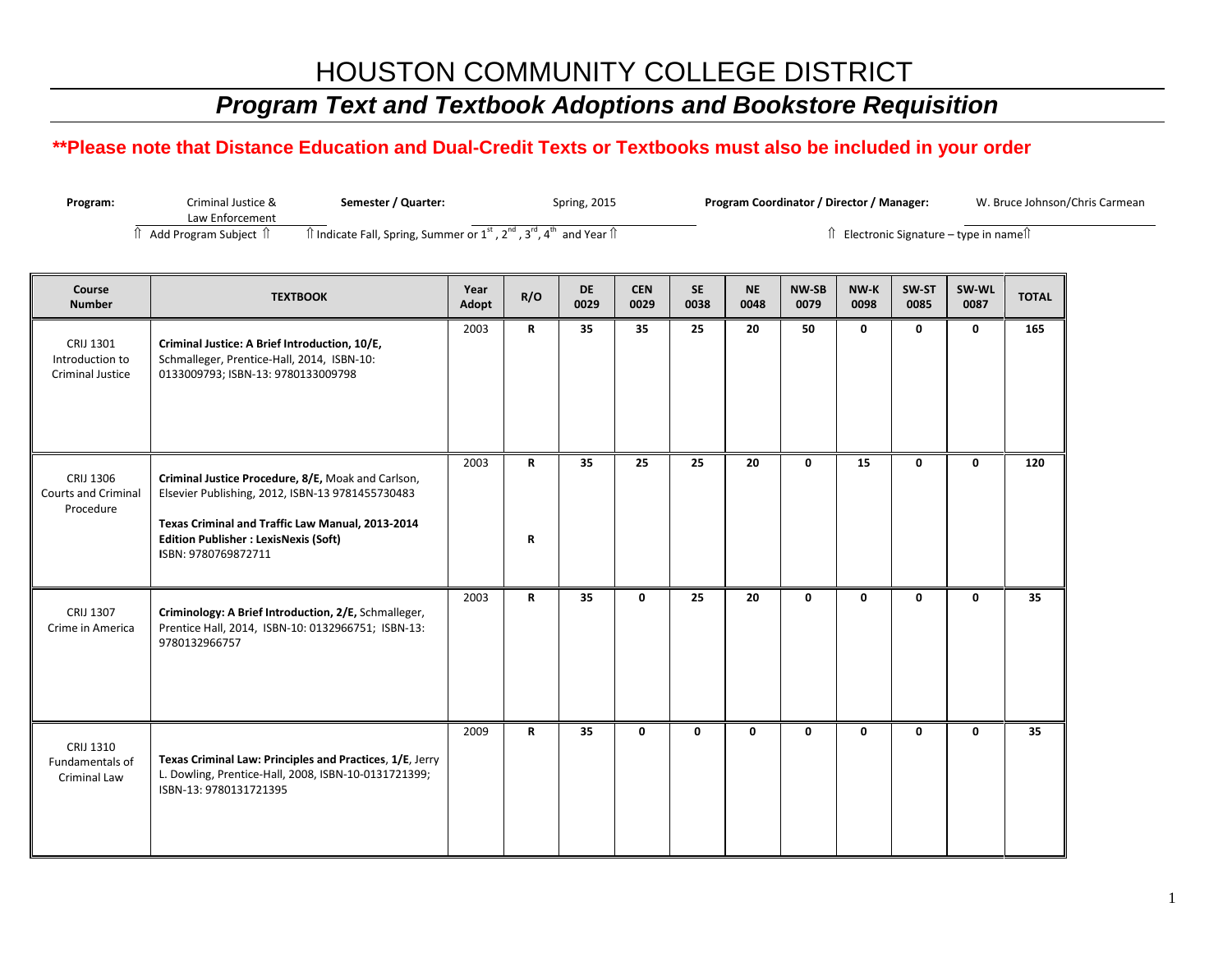### HOUSTON COMMUNITY COLLEGE DISTRICT

# *Program Text and Textbook Adoptions and Bookstore Requisition*

#### **\*\*Please note that Distance Education and Dual-Credit Texts or Textbooks must also be included in your order**

| Program: | Criminal Justice &      | Semester / Quarter:                                                                                                                                   | <b>Spring, 2015</b> | Program Coordinator / Director / Manager: | W. Bruce Johnson/Chris Carmean |
|----------|-------------------------|-------------------------------------------------------------------------------------------------------------------------------------------------------|---------------------|-------------------------------------------|--------------------------------|
|          | Law Enforcement         |                                                                                                                                                       |                     |                                           |                                |
|          | ` Add Program Subiect 1 | $\hat{\mathbb{I}}$ Indicate Fall, Spring, Summer or $1^{\text{st}}$ , $2^{\text{nd}}$ , $3^{\text{rd}}$ , $4^{\text{th}}$ and Year $\hat{\mathbb{I}}$ |                     | Electronic Signature – type in namell     |                                |

| Course<br><b>Number</b>                              | <b>TEXTBOOK</b>                                                                                                                                                                                                                   | Year<br>Adopt | R/O          | <b>DE</b><br>0029 | <b>CEN</b><br>0029 | <b>SE</b><br>0038 | <b>NE</b><br>0048 | <b>NW-SB</b><br>0079 | NW-K<br>0098 | SW-ST<br>0085 | SW-WL<br>0087 | <b>TOTAL</b> |
|------------------------------------------------------|-----------------------------------------------------------------------------------------------------------------------------------------------------------------------------------------------------------------------------------|---------------|--------------|-------------------|--------------------|-------------------|-------------------|----------------------|--------------|---------------|---------------|--------------|
| CRIJ 1301<br>Introduction to<br>Criminal Justice     | Criminal Justice: A Brief Introduction, 10/E,<br>Schmalleger, Prentice-Hall, 2014, ISBN-10:<br>0133009793; ISBN-13: 9780133009798                                                                                                 | 2003          | R            | 35                | 35                 | 25                | 20                | 50                   | $\mathbf 0$  | 0             | $\mathbf 0$   | 165          |
| CRIJ 1306<br><b>Courts and Criminal</b><br>Procedure | Criminal Justice Procedure, 8/E, Moak and Carlson,<br>Elsevier Publishing, 2012, ISBN-13 9781455730483<br>Texas Criminal and Traffic Law Manual, 2013-2014<br><b>Edition Publisher : LexisNexis (Soft)</b><br>ISBN: 9780769872711 | 2003          | R<br>R       | 35                | 25                 | 25                | 20                | 0                    | 15           | 0             | $\mathbf 0$   | 120          |
| CRIJ 1307<br>Crime in America                        | Criminology: A Brief Introduction, 2/E, Schmalleger,<br>Prentice Hall, 2014, ISBN-10: 0132966751; ISBN-13:<br>9780132966757                                                                                                       | 2003          | R            | 35                | $\mathbf 0$        | 25                | 20                | $\mathbf 0$          | $\mathbf{0}$ | 0             | $\mathbf 0$   | 35           |
| CRIJ 1310<br>Fundamentals of<br><b>Criminal Law</b>  | Texas Criminal Law: Principles and Practices, 1/E, Jerry<br>L. Dowling, Prentice-Hall, 2008, ISBN-10-0131721399;<br>ISBN-13: 9780131721395                                                                                        | 2009          | $\mathsf{R}$ | 35                | 0                  | 0                 | 0                 | 0                    | 0            | 0             | $\mathbf 0$   | 35           |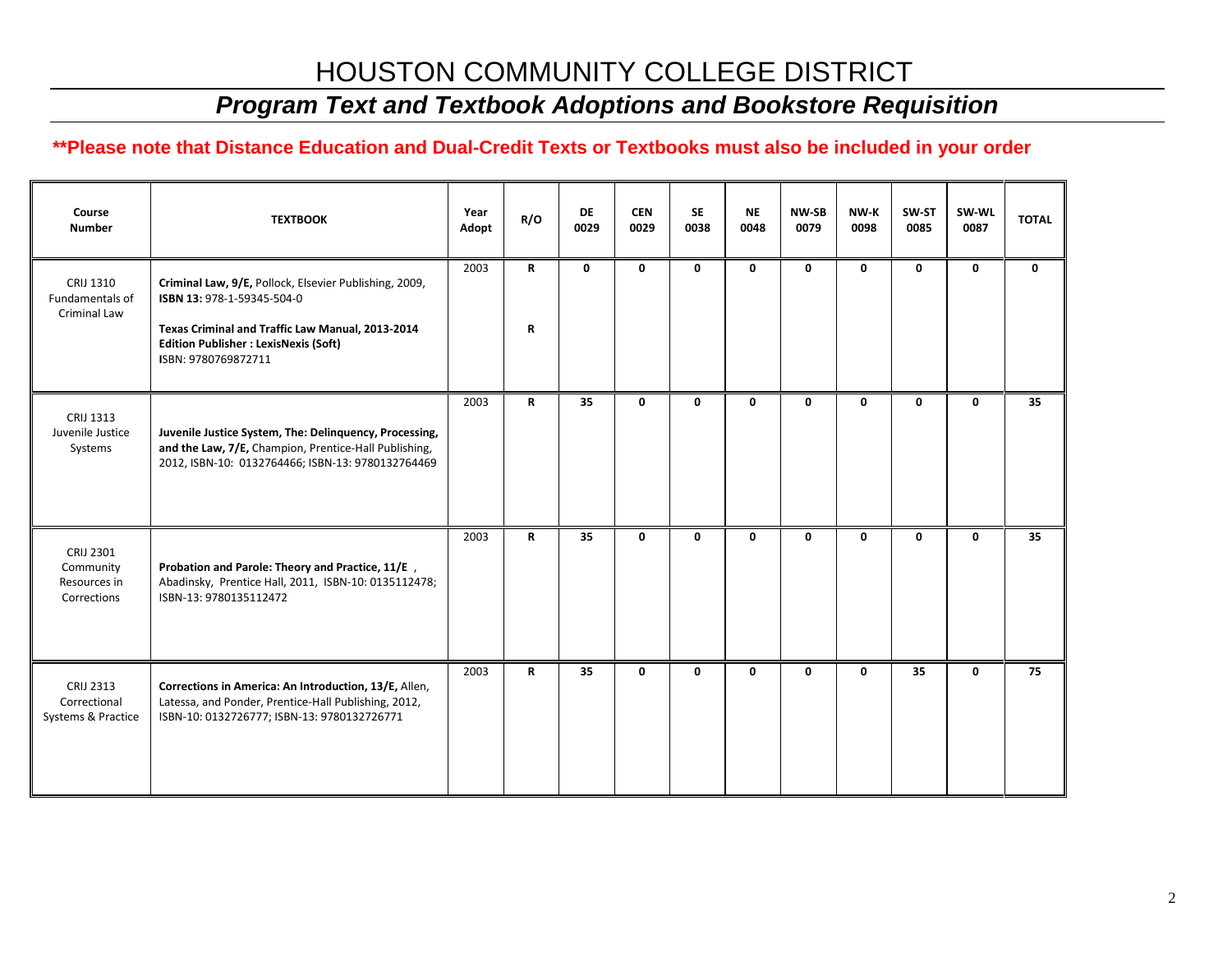## HOUSTON COMMUNITY COLLEGE DISTRICT

## *Program Text and Textbook Adoptions and Bookstore Requisition*

#### **\*\*Please note that Distance Education and Dual-Credit Texts or Textbooks must also be included in your order**

| Course<br><b>Number</b>                                | <b>TEXTBOOK</b>                                                                                                                                                                                                 | Year<br>Adopt | R/O          | DE<br>0029 | <b>CEN</b><br>0029 | <b>SE</b><br>0038 | <b>NE</b><br>0048 | <b>NW-SB</b><br>0079 | NW-K<br>0098 | SW-ST<br>0085 | SW-WL<br>0087 | <b>TOTAL</b> |
|--------------------------------------------------------|-----------------------------------------------------------------------------------------------------------------------------------------------------------------------------------------------------------------|---------------|--------------|------------|--------------------|-------------------|-------------------|----------------------|--------------|---------------|---------------|--------------|
| CRIJ 1310<br>Fundamentals of<br>Criminal Law           | Criminal Law, 9/E, Pollock, Elsevier Publishing, 2009,<br>ISBN 13: 978-1-59345-504-0<br>Texas Criminal and Traffic Law Manual, 2013-2014<br><b>Edition Publisher : LexisNexis (Soft)</b><br>ISBN: 9780769872711 | 2003          | R<br>R       | 0          | 0                  | 0                 | 0                 | 0                    | 0            | 0             | 0             | $\mathbf 0$  |
| CRIJ 1313<br>Juvenile Justice<br>Systems               | Juvenile Justice System, The: Delinquency, Processing,<br>and the Law, 7/E, Champion, Prentice-Hall Publishing,<br>2012, ISBN-10: 0132764466; ISBN-13: 9780132764469                                            | 2003          | $\mathsf{R}$ | 35         | 0                  | 0                 | 0                 | $\mathbf 0$          | 0            | 0             | $\mathbf 0$   | 35           |
| CRIJ 2301<br>Community<br>Resources in<br>Corrections  | Probation and Parole: Theory and Practice, 11/E,<br>Abadinsky, Prentice Hall, 2011, ISBN-10: 0135112478;<br>ISBN-13: 9780135112472                                                                              | 2003          | R            | 35         | 0                  | 0                 | 0                 | 0                    | 0            | 0             | 0             | 35           |
| <b>CRIJ 2313</b><br>Correctional<br>Systems & Practice | Corrections in America: An Introduction, 13/E, Allen,<br>Latessa, and Ponder, Prentice-Hall Publishing, 2012,<br>ISBN-10: 0132726777; ISBN-13: 9780132726771                                                    | 2003          | $\mathsf{R}$ | 35         | 0                  | 0                 | 0                 | $\mathbf 0$          | 0            | 35            | 0             | 75           |